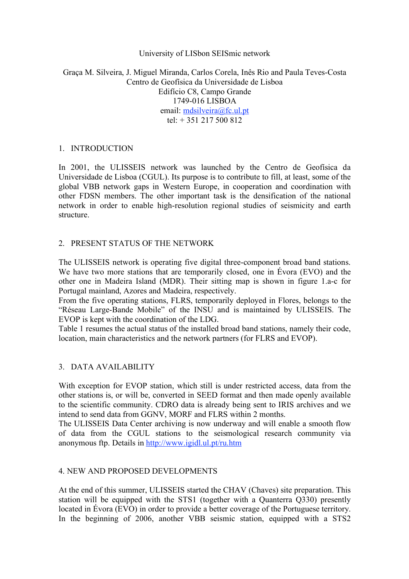### University of LISbon SEISmic network

# Graça M. Silveira, J. Miguel Miranda, Carlos Corela, Inês Rio and Paula Teves-Costa Centro de Geofísica da Universidade de Lisboa Edifício C8, Campo Grande 1749-016 LISBOA email: mdsilveira@fc.ul.pt tel:  $+ 351$  217 500 812

# 1. INTRODUCTION

In 2001, the ULISSEIS network was launched by the Centro de Geofísica da Universidade de Lisboa (CGUL). Its purpose is to contribute to fill, at least, some of the global VBB network gaps in Western Europe, in cooperation and coordination with other FDSN members. The other important task is the densification of the national network in order to enable high-resolution regional studies of seismicity and earth structure.

### 2. PRESENT STATUS OF THE NETWORK

The ULISSEIS network is operating five digital three-component broad band stations. We have two more stations that are temporarily closed, one in Évora (EVO) and the other one in Madeira Island (MDR). Their sitting map is shown in figure 1.a-c for Portugal mainland, Azores and Madeira, respectively.

From the five operating stations, FLRS, temporarily deployed in Flores, belongs to the "Réseau Large-Bande Mobile" of the INSU and is maintained by ULISSEIS. The EVOP is kept with the coordination of the LDG.

Table 1 resumes the actual status of the installed broad band stations, namely their code, location, main characteristics and the network partners (for FLRS and EVOP).

### 3. DATA AVAILABILITY

With exception for EVOP station, which still is under restricted access, data from the other stations is, or will be, converted in SEED format and then made openly available to the scientific community. CDRO data is already being sent to IRIS archives and we intend to send data from GGNV, MORF and FLRS within 2 months.

The ULISSEIS Data Center archiving is now underway and will enable a smooth flow of data from the CGUL stations to the seismological research community via anonymous ftp. Details in http://www.igidl.ul.pt/ru.htm

### 4. NEW AND PROPOSED DEVELOPMENTS

At the end of this summer, ULISSEIS started the CHAV (Chaves) site preparation. This station will be equipped with the STS1 (together with a Quanterra Q330) presently located in Évora (EVO) in order to provide a better coverage of the Portuguese territory. In the beginning of 2006, another VBB seismic station, equipped with a STS2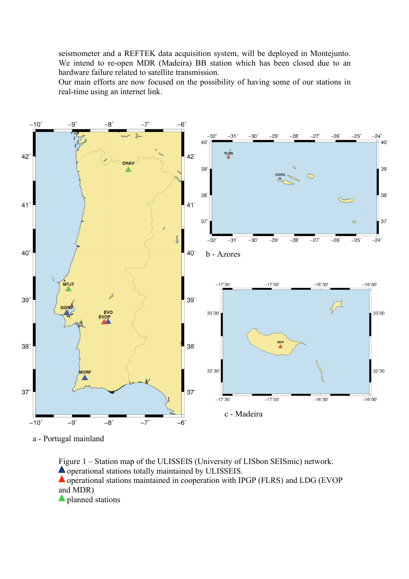seismometer and a REFTEK data acquisition system, will be deployed in Montejunto. We intend to re-open MDR (Madeira) BB station which has been closed due to an hardware failure related to satellite transmission.

Our main efforts are now focused on the possibility of having some of our stations in real-time using an internet link.



a - Portugal mainland

Figure 1 – Station map of the ULISSEIS (University of LISbon SEISmic) network.  $\triangle$  operational stations totally maintained by ULISSEIS. operational stations maintained in cooperation with IPGP (FLRS) and LDG (EVOP and MDR) planned stations